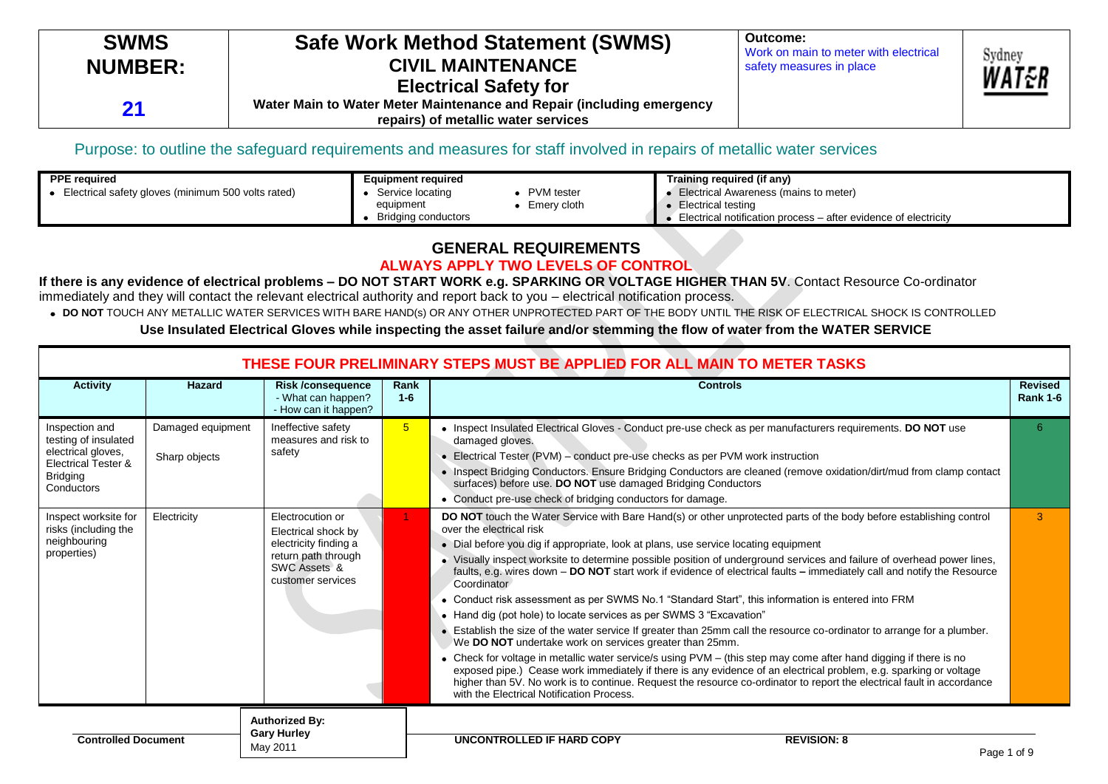| <b>SWMS</b>    | <b>Safe Work Method Statement (SWMS)</b>                                                                     | Outcome:<br>Work on main to meter with electrical | Sydney |
|----------------|--------------------------------------------------------------------------------------------------------------|---------------------------------------------------|--------|
| <b>NUMBER:</b> | <b>CIVIL MAINTENANCE</b><br><b>Electrical Safety for</b>                                                     | safety measures in place                          | WAT&P  |
| 21             | Water Main to Water Meter Maintenance and Repair (including emergency<br>repairs) of metallic water services |                                                   |        |

### Purpose: to outline the safeguard requirements and measures for staff involved in repairs of metallic water services

| <b>PPE</b> required                                | <b>Equipment required</b>             | Training required (if any)                                      |
|----------------------------------------------------|---------------------------------------|-----------------------------------------------------------------|
| Electrical safety gloves (minimum 500 volts rated) | <b>PVM</b> tester<br>Service locating | Electrical Awareness (mains to meter)                           |
|                                                    | Emery cloth<br>equipment              | Electrical testing                                              |
|                                                    | Bridging conductors                   | Electrical notification process – after evidence of electricity |

### **GENERAL REQUIREMENTS ALWAYS APPLY TWO LEVELS OF CONTROL**

### **If there is any evidence of electrical problems – DO NOT START WORK e.g. SPARKING OR VOLTAGE HIGHER THAN 5V**. Contact Resource Co-ordinator immediately and they will contact the relevant electrical authority and report back to you – electrical notification process.

**DO NOT** TOUCH ANY METALLIC WATER SERVICES WITH BARE HAND(s) OR ANY OTHER UNPROTECTED PART OF THE BODY UNTIL THE RISK OF ELECTRICAL SHOCK IS CONTROLLED **Use Insulated Electrical Gloves while inspecting the asset failure and/or stemming the flow of water from the WATER SERVICE**

|                                                                                                                                 | THESE FOUR PRELIMINARY STEPS MUST BE APPLIED FOR ALL MAIN TO METER TASKS |                                                                                                                              |                 |                                                                                                                                                                                                                                                                                                                                                                                                                                                                                                                                                                                                                                                                                                                                                                                                                                                                                                                                                                                                                                                                                                                                                                                                                                                                                                |                                   |
|---------------------------------------------------------------------------------------------------------------------------------|--------------------------------------------------------------------------|------------------------------------------------------------------------------------------------------------------------------|-----------------|------------------------------------------------------------------------------------------------------------------------------------------------------------------------------------------------------------------------------------------------------------------------------------------------------------------------------------------------------------------------------------------------------------------------------------------------------------------------------------------------------------------------------------------------------------------------------------------------------------------------------------------------------------------------------------------------------------------------------------------------------------------------------------------------------------------------------------------------------------------------------------------------------------------------------------------------------------------------------------------------------------------------------------------------------------------------------------------------------------------------------------------------------------------------------------------------------------------------------------------------------------------------------------------------|-----------------------------------|
| <b>Activity</b>                                                                                                                 | Hazard                                                                   | <b>Risk/consequence</b><br>- What can happen?<br>- How can it happen?                                                        | Rank<br>$1 - 6$ | <b>Controls</b>                                                                                                                                                                                                                                                                                                                                                                                                                                                                                                                                                                                                                                                                                                                                                                                                                                                                                                                                                                                                                                                                                                                                                                                                                                                                                | <b>Revised</b><br><b>Rank 1-6</b> |
| Inspection and<br>testing of insulated<br>electrical gloves,<br><b>Electrical Tester &amp;</b><br><b>Bridging</b><br>Conductors | Damaged equipment<br>Sharp objects                                       | Ineffective safety<br>measures and risk to<br>safety                                                                         | 5 <sup>5</sup>  | • Inspect Insulated Electrical Gloves - Conduct pre-use check as per manufacturers requirements. DO NOT use<br>damaged gloves.<br>• Electrical Tester (PVM) – conduct pre-use checks as per PVM work instruction<br>• Inspect Bridging Conductors. Ensure Bridging Conductors are cleaned (remove oxidation/dirt/mud from clamp contact<br>surfaces) before use. DO NOT use damaged Bridging Conductors<br>• Conduct pre-use check of bridging conductors for damage.                                                                                                                                                                                                                                                                                                                                                                                                                                                                                                                                                                                                                                                                                                                                                                                                                          | 6                                 |
| Inspect worksite for<br>risks (including the<br>neighbouring<br>properties)                                                     | Electricity                                                              | Electrocution or<br>Electrical shock by<br>electricity finding a<br>return path through<br>SWC Assets &<br>customer services |                 | DO NOT touch the Water Service with Bare Hand(s) or other unprotected parts of the body before establishing control<br>over the electrical risk<br>• Dial before you dig if appropriate, look at plans, use service locating equipment<br>• Visually inspect worksite to determine possible position of underground services and failure of overhead power lines,<br>faults, e.g. wires down - DO NOT start work if evidence of electrical faults - immediately call and notify the Resource<br>Coordinator<br>• Conduct risk assessment as per SWMS No.1 "Standard Start", this information is entered into FRM<br>• Hand dig (pot hole) to locate services as per SWMS 3 "Excavation"<br>• Establish the size of the water service If greater than 25mm call the resource co-ordinator to arrange for a plumber.<br>We DO NOT undertake work on services greater than 25mm.<br>• Check for voltage in metallic water service/s using PVM - (this step may come after hand digging if there is no<br>exposed pipe.) Cease work immediately if there is any evidence of an electrical problem, e.g. sparking or voltage<br>higher than 5V. No work is to continue. Request the resource co-ordinator to report the electrical fault in accordance<br>with the Electrical Notification Process. | 3                                 |
| <b>Controlled Document</b>                                                                                                      |                                                                          | <b>Authorized By:</b><br><b>Gary Hurley</b><br>May 2011                                                                      |                 | UNCONTROLLED IF HARD COPY<br><b>REVISION: 8</b><br>Page 1 of 9                                                                                                                                                                                                                                                                                                                                                                                                                                                                                                                                                                                                                                                                                                                                                                                                                                                                                                                                                                                                                                                                                                                                                                                                                                 |                                   |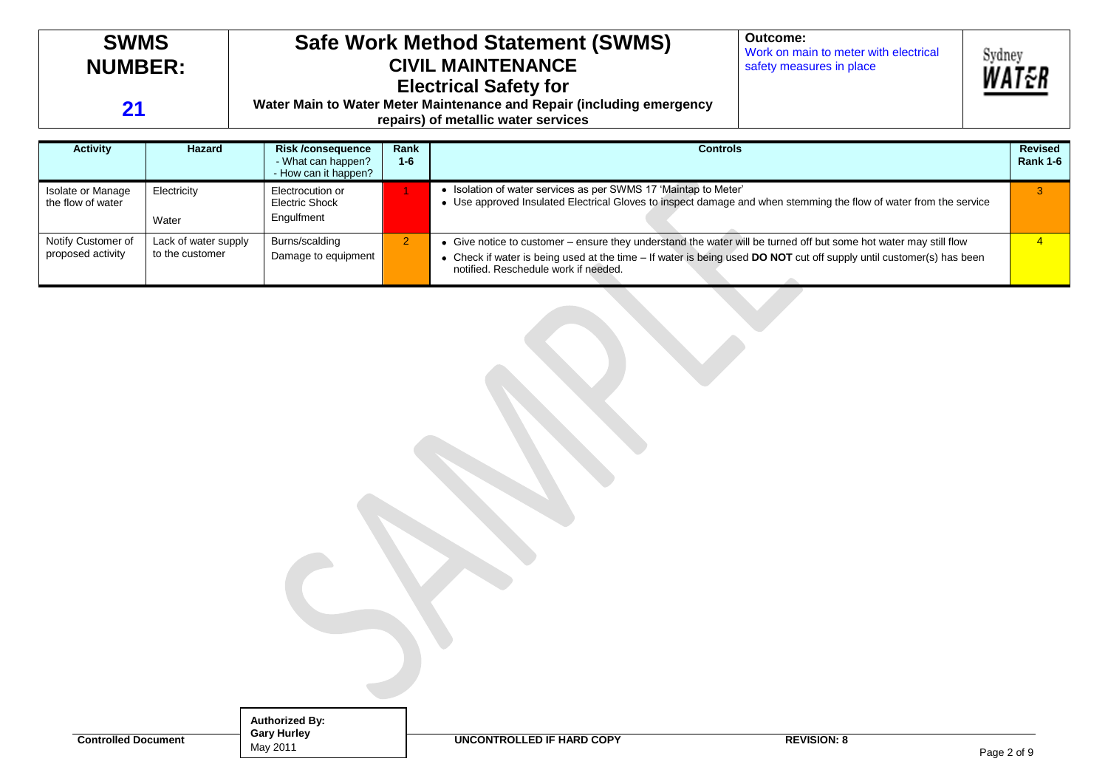| <b>SWMS</b><br><b>NUMBER:</b><br>21    |             | <b>Safe Work Method Statement (SWMS)</b><br><b>CIVIL MAINTENANCE</b><br><b>Electrical Safety for</b><br>Water Main to Water Meter Maintenance and Repair (including emergency<br>repairs) of metallic water services | Outcome:<br>Work on main to meter with electrical<br>safety measures in place | Sydney                                                                                                                                                                               | WAT&R |  |                                   |
|----------------------------------------|-------------|----------------------------------------------------------------------------------------------------------------------------------------------------------------------------------------------------------------------|-------------------------------------------------------------------------------|--------------------------------------------------------------------------------------------------------------------------------------------------------------------------------------|-------|--|-----------------------------------|
| <b>Activity</b>                        | Hazard      | <b>Risk /consequence</b><br>- What can happen?<br>- How can it happen?                                                                                                                                               | Rank<br>$1 - 6$                                                               | <b>Controls</b>                                                                                                                                                                      |       |  | <b>Revised</b><br><b>Rank 1-6</b> |
| Isolate or Manage<br>the flow of water | Electricity | Electrocution or<br>Electric Shock                                                                                                                                                                                   |                                                                               | • Isolation of water services as per SWMS 17 'Maintap to Meter'<br>• Use approved Insulated Electrical Gloves to inspect damage and when stemming the flow of water from the service |       |  |                                   |

notified. Reschedule work if needed.

<sup>2</sup> Give notice to customer – ensure they understand the water will be turned off but some hot water may still flow

Check if water is being used at the time – If water is being used **DO NOT** cut off supply until customer(s) has been

Water

Lack of water supply to the customer

Notify Customer of proposed activity

> **Authorized By: Gary Hurley** May 2011

Engulfment

Burns/scalding Damage to equipment

**Controlled Document UNCONTROLLED IF HARD COPY REVISION: 8** 

4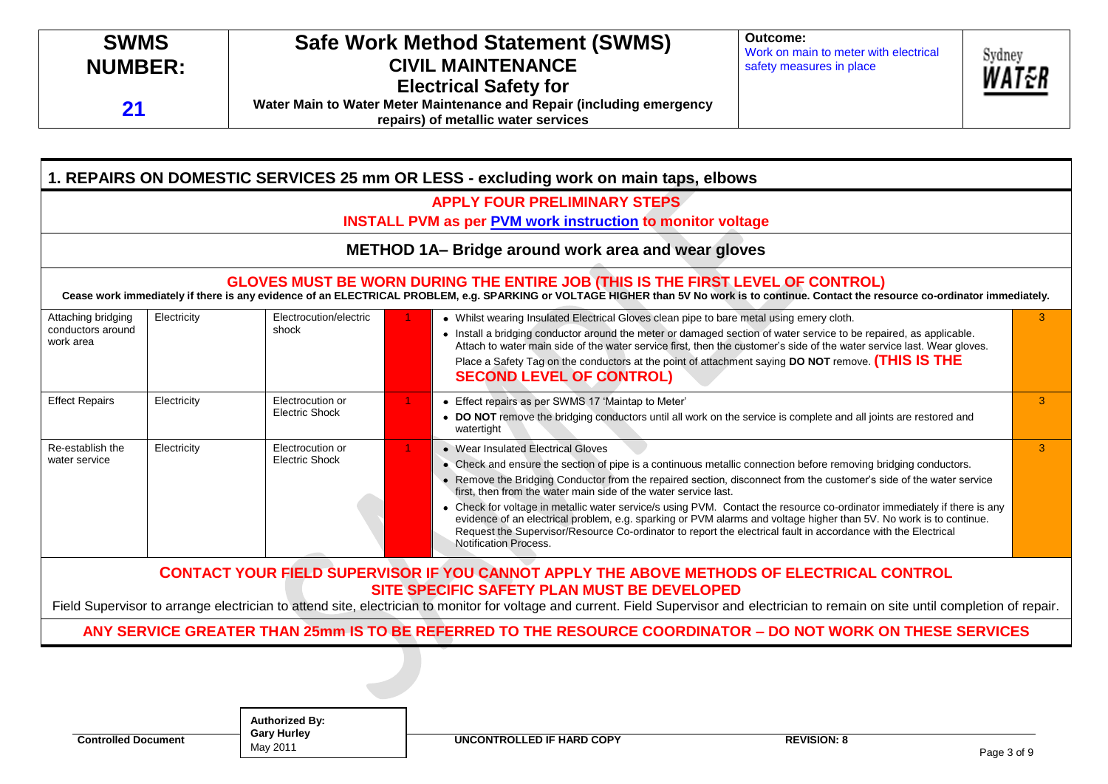| Work on main to meter with electrical<br>Sydney<br><b>CIVIL MAINTENANCE</b><br><b>NUMBER:</b><br>safety measures in place<br><b>Electrical Safety for</b><br>Water Main to Water Meter Maintenance and Repair (including emergency<br>21 | repairs) of metallic water services | <b>SWMS</b> | <b>Safe Work Method Statement (SWMS)</b> | Outcome: | WAT&R |
|------------------------------------------------------------------------------------------------------------------------------------------------------------------------------------------------------------------------------------------|-------------------------------------|-------------|------------------------------------------|----------|-------|
|------------------------------------------------------------------------------------------------------------------------------------------------------------------------------------------------------------------------------------------|-------------------------------------|-------------|------------------------------------------|----------|-------|

|                                                                                                                                                                                                                                                                            |             |                                           |  | <b>APPLY FOUR PRELIMINARY STEPS</b><br><b>INSTALL PVM as per PVM work instruction to monitor voltage</b>                                                                                                                                                                                                                                                                                                                                                                                                                                                                                                                                                                                                                                    |   |  |  |  |
|----------------------------------------------------------------------------------------------------------------------------------------------------------------------------------------------------------------------------------------------------------------------------|-------------|-------------------------------------------|--|---------------------------------------------------------------------------------------------------------------------------------------------------------------------------------------------------------------------------------------------------------------------------------------------------------------------------------------------------------------------------------------------------------------------------------------------------------------------------------------------------------------------------------------------------------------------------------------------------------------------------------------------------------------------------------------------------------------------------------------------|---|--|--|--|
|                                                                                                                                                                                                                                                                            |             |                                           |  | METHOD 1A-Bridge around work area and wear gloves                                                                                                                                                                                                                                                                                                                                                                                                                                                                                                                                                                                                                                                                                           |   |  |  |  |
| GLOVES MUST BE WORN DURING THE ENTIRE JOB (THIS IS THE FIRST LEVEL OF CONTROL)<br>Cease work immediately if there is any evidence of an ELECTRICAL PROBLEM, e.g. SPARKING or VOLTAGE HIGHER than 5V No work is to continue. Contact the resource co-ordinator immediately. |             |                                           |  |                                                                                                                                                                                                                                                                                                                                                                                                                                                                                                                                                                                                                                                                                                                                             |   |  |  |  |
| Attaching bridging<br>conductors around<br>work area                                                                                                                                                                                                                       | Electricity | Electrocution/electric<br>shock           |  | • Whilst wearing Insulated Electrical Gloves clean pipe to bare metal using emery cloth.<br>• Install a bridging conductor around the meter or damaged section of water service to be repaired, as applicable.<br>Attach to water main side of the water service first, then the customer's side of the water service last. Wear gloves.<br>Place a Safety Tag on the conductors at the point of attachment saying DO NOT remove. (THIS IS THE<br><b>SECOND LEVEL OF CONTROL)</b>                                                                                                                                                                                                                                                           | 3 |  |  |  |
| <b>Effect Repairs</b>                                                                                                                                                                                                                                                      | Electricity | Electrocution or<br><b>Electric Shock</b> |  | • Effect repairs as per SWMS 17 'Maintap to Meter'<br>• DO NOT remove the bridging conductors until all work on the service is complete and all joints are restored and<br>watertight                                                                                                                                                                                                                                                                                                                                                                                                                                                                                                                                                       | 3 |  |  |  |
| Re-establish the<br>water service                                                                                                                                                                                                                                          | Electricity | Electrocution or<br><b>Electric Shock</b> |  | • Wear Insulated Electrical Gloves<br>• Check and ensure the section of pipe is a continuous metallic connection before removing bridging conductors.<br>• Remove the Bridging Conductor from the repaired section, disconnect from the customer's side of the water service<br>first, then from the water main side of the water service last.<br>• Check for voltage in metallic water service/s using PVM. Contact the resource co-ordinator immediately if there is any<br>evidence of an electrical problem, e.g. sparking or PVM alarms and voltage higher than 5V. No work is to continue.<br>Request the Supervisor/Resource Co-ordinator to report the electrical fault in accordance with the Electrical<br>Notification Process. | 3 |  |  |  |
|                                                                                                                                                                                                                                                                            |             |                                           |  | <b>CONTACT YOUR FIELD SUPERVISOR IF YOU CANNOT APPLY THE ABOVE METHODS OF ELECTRICAL CONTROL</b><br>SITE SPECIFIC SAFETY PLAN MUST BE DEVELOPED<br>Field Supervisor to arrange electrician to attend site, electrician to monitor for voltage and current. Field Supervisor and electrician to remain on site until completion of repair.                                                                                                                                                                                                                                                                                                                                                                                                   |   |  |  |  |

**Authorized By: Gary Hurley** May 2011

**Controlled Document Gary Hurley Controlled Document COPY REVISION: 8**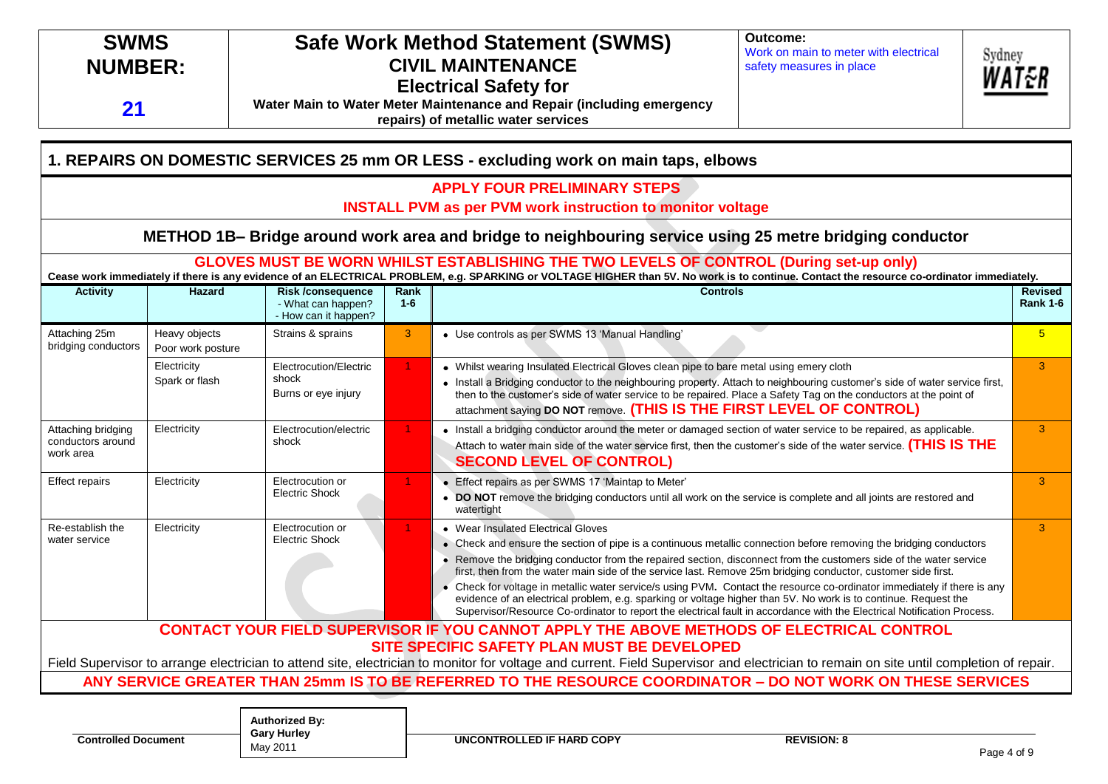| 21                                                   | Outcome:<br><b>SWMS</b><br><b>Safe Work Method Statement (SWMS)</b><br>Work on main to meter with electrical<br>Sydney<br><b>NUMBER:</b><br><b>CIVIL MAINTENANCE</b><br>safety measures in place<br><b>Electrical Safety for</b><br>Water Main to Water Meter Maintenance and Repair (including emergency<br>repairs) of metallic water services |                                                                        |                 |                                                                                                                                                                                                                                                                                                                                                                                                                                                                                                                                                                                                                                                                                                                                                                         |                                                                                                                                                                                                                                         |                |                                   |  |
|------------------------------------------------------|--------------------------------------------------------------------------------------------------------------------------------------------------------------------------------------------------------------------------------------------------------------------------------------------------------------------------------------------------|------------------------------------------------------------------------|-----------------|-------------------------------------------------------------------------------------------------------------------------------------------------------------------------------------------------------------------------------------------------------------------------------------------------------------------------------------------------------------------------------------------------------------------------------------------------------------------------------------------------------------------------------------------------------------------------------------------------------------------------------------------------------------------------------------------------------------------------------------------------------------------------|-----------------------------------------------------------------------------------------------------------------------------------------------------------------------------------------------------------------------------------------|----------------|-----------------------------------|--|
|                                                      |                                                                                                                                                                                                                                                                                                                                                  |                                                                        |                 | 1. REPAIRS ON DOMESTIC SERVICES 25 mm OR LESS - excluding work on main taps, elbows                                                                                                                                                                                                                                                                                                                                                                                                                                                                                                                                                                                                                                                                                     |                                                                                                                                                                                                                                         |                |                                   |  |
|                                                      |                                                                                                                                                                                                                                                                                                                                                  |                                                                        |                 | <b>APPLY FOUR PRELIMINARY STEPS</b><br><b>INSTALL PVM as per PVM work instruction to monitor voltage</b>                                                                                                                                                                                                                                                                                                                                                                                                                                                                                                                                                                                                                                                                |                                                                                                                                                                                                                                         |                |                                   |  |
|                                                      |                                                                                                                                                                                                                                                                                                                                                  |                                                                        |                 | METHOD 1B- Bridge around work area and bridge to neighbouring service using 25 metre bridging conductor                                                                                                                                                                                                                                                                                                                                                                                                                                                                                                                                                                                                                                                                 |                                                                                                                                                                                                                                         |                |                                   |  |
|                                                      |                                                                                                                                                                                                                                                                                                                                                  |                                                                        |                 | GLOVES MUST BE WORN WHILST ESTABLISHING THE TWO LEVELS OF CONTROL (During set-up only)<br>Cease work immediately if there is any evidence of an ELECTRICAL PROBLEM, e.g. SPARKING or VOLTAGE HIGHER than 5V. No work is to continue. Contact the resource co-ordinator immediately.                                                                                                                                                                                                                                                                                                                                                                                                                                                                                     |                                                                                                                                                                                                                                         |                |                                   |  |
| <b>Activity</b>                                      | <b>Hazard</b>                                                                                                                                                                                                                                                                                                                                    | <b>Risk /consequence</b><br>- What can happen?<br>- How can it happen? | Rank<br>$1 - 6$ | <b>Controls</b>                                                                                                                                                                                                                                                                                                                                                                                                                                                                                                                                                                                                                                                                                                                                                         |                                                                                                                                                                                                                                         |                | <b>Revised</b><br><b>Rank 1-6</b> |  |
| Attaching 25m<br>bridging conductors                 | Heavy objects<br>Poor work posture                                                                                                                                                                                                                                                                                                               | Strains & sprains                                                      | 3               | • Use controls as per SWMS 13 'Manual Handling'                                                                                                                                                                                                                                                                                                                                                                                                                                                                                                                                                                                                                                                                                                                         |                                                                                                                                                                                                                                         | $5\phantom{1}$ |                                   |  |
|                                                      | Electricity<br>Spark or flash                                                                                                                                                                                                                                                                                                                    | Electrocution/Electric<br>shock<br>Burns or eye injury                 |                 | • Whilst wearing Insulated Electrical Gloves clean pipe to bare metal using emery cloth<br>• Install a Bridging conductor to the neighbouring property. Attach to neighbouring customer's side of water service first,<br>then to the customer's side of water service to be repaired. Place a Safety Tag on the conductors at the point of<br>attachment saying DO NOT remove. (THIS IS THE FIRST LEVEL OF CONTROL)                                                                                                                                                                                                                                                                                                                                                    |                                                                                                                                                                                                                                         |                | 3                                 |  |
| Attaching bridging<br>conductors around<br>work area | Electricity                                                                                                                                                                                                                                                                                                                                      | Electrocution/electric<br>shock                                        |                 | <b>SECOND LEVEL OF CONTROL)</b>                                                                                                                                                                                                                                                                                                                                                                                                                                                                                                                                                                                                                                                                                                                                         | • Install a bridging conductor around the meter or damaged section of water service to be repaired, as applicable.<br>Attach to water main side of the water service first, then the customer's side of the water service. (THIS IS THE |                |                                   |  |
| <b>Effect repairs</b>                                | Electricity                                                                                                                                                                                                                                                                                                                                      | Electrocution or<br><b>Electric Shock</b>                              |                 | • Effect repairs as per SWMS 17 'Maintap to Meter'<br>• DO NOT remove the bridging conductors until all work on the service is complete and all joints are restored and<br>watertight                                                                                                                                                                                                                                                                                                                                                                                                                                                                                                                                                                                   |                                                                                                                                                                                                                                         |                | 3                                 |  |
| Re-establish the<br>water service                    | Electricity                                                                                                                                                                                                                                                                                                                                      | Electrocution or<br><b>Electric Shock</b>                              | $\mathbf{1}$    | • Wear Insulated Electrical Gloves<br>• Check and ensure the section of pipe is a continuous metallic connection before removing the bridging conductors<br>• Remove the bridging conductor from the repaired section, disconnect from the customers side of the water service<br>first, then from the water main side of the service last. Remove 25m bridging conductor, customer side first.<br>Check for voltage in metallic water service/s using PVM. Contact the resource co-ordinator immediately if there is any<br>evidence of an electrical problem, e.g. sparking or voltage higher than 5V. No work is to continue. Request the<br>Supervisor/Resource Co-ordinator to report the electrical fault in accordance with the Electrical Notification Process. |                                                                                                                                                                                                                                         |                | 3                                 |  |
|                                                      |                                                                                                                                                                                                                                                                                                                                                  |                                                                        |                 | CONTACT YOUR FIELD SUPERVISOR IF YOU CANNOT APPLY THE ABOVE METHODS OF ELECTRICAL CONTROL<br>SITE SPECIFIC SAFETY PLAN MUST BE DEVELOPED                                                                                                                                                                                                                                                                                                                                                                                                                                                                                                                                                                                                                                |                                                                                                                                                                                                                                         |                |                                   |  |
|                                                      |                                                                                                                                                                                                                                                                                                                                                  |                                                                        |                 | Field Supervisor to arrange electrician to attend site, electrician to monitor for voltage and current. Field Supervisor and electrician to remain on site until completion of repair.                                                                                                                                                                                                                                                                                                                                                                                                                                                                                                                                                                                  |                                                                                                                                                                                                                                         |                |                                   |  |
|                                                      |                                                                                                                                                                                                                                                                                                                                                  |                                                                        |                 | ANY SERVICE GREATER THAN 25mm IS TO BE REFERRED TO THE RESOURCE COORDINATOR - DO NOT WORK ON THESE SERVICES                                                                                                                                                                                                                                                                                                                                                                                                                                                                                                                                                                                                                                                             |                                                                                                                                                                                                                                         |                |                                   |  |
|                                                      |                                                                                                                                                                                                                                                                                                                                                  | Authorized By:                                                         |                 |                                                                                                                                                                                                                                                                                                                                                                                                                                                                                                                                                                                                                                                                                                                                                                         |                                                                                                                                                                                                                                         |                |                                   |  |

**Authorized By: Gary Hurley** May 2011

**Controlled Document Cary Hurley Controlled Document UNCONTROLLED IF HARD COPY REVISION: 8**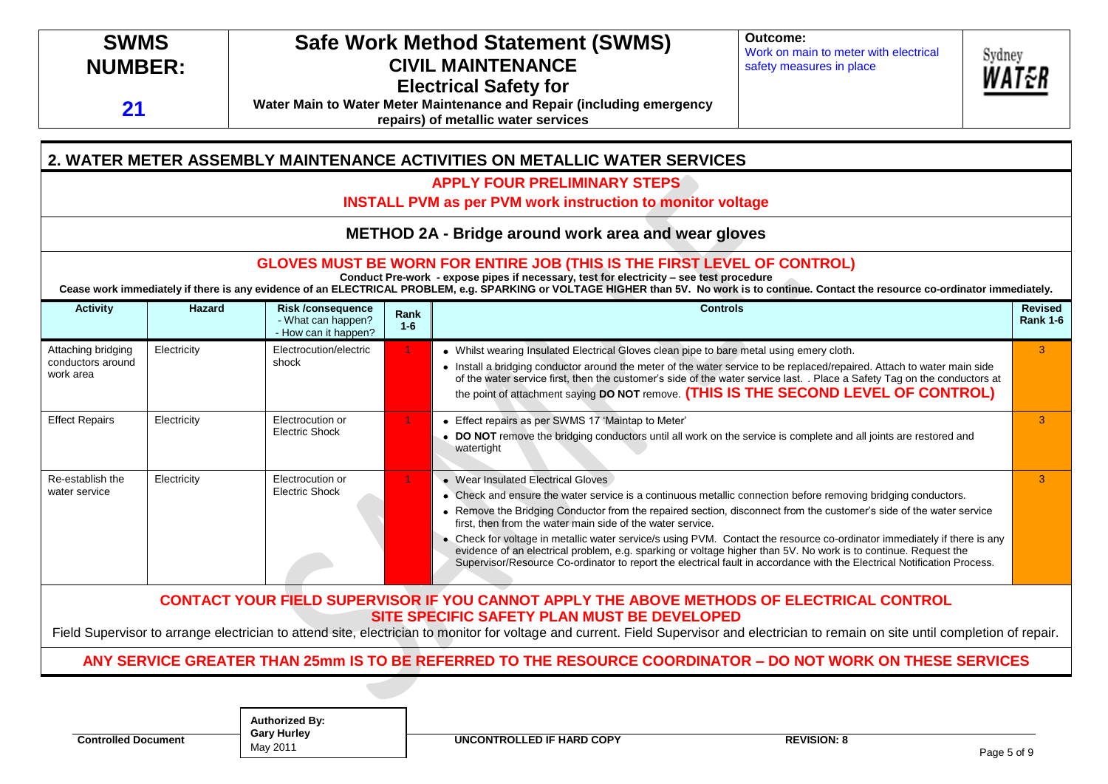# **SWMS NUMBER:**

**21**

# **Safe Work Method Statement (SWMS) CIVIL MAINTENANCE Electrical Safety for**

**Water Main to Water Meter Maintenance and Repair (including emergency repairs) of metallic water services** 

**Outcome:** Work on main to meter with electrical safety measures in place



**2. WATER METER ASSEMBLY MAINTENANCE ACTIVITIES ON METALLIC WATER SERVICES APPLY FOUR PRELIMINARY STEPS**

**INSTALL PVM as per PVM work instruction to monitor voltage**

**METHOD 2A - Bridge around work area and wear gloves** 

### **GLOVES MUST BE WORN FOR ENTIRE JOB (THIS IS THE FIRST LEVEL OF CONTROL)**

**Conduct Pre-work - expose pipes if necessary, test for electricity – see test procedure**

**Cease work immediately if there is any evidence of an ELECTRICAL PROBLEM, e.g. SPARKING or VOLTAGE HIGHER than 5V. No work is to continue. Contact the resource co-ordinator immediately.**

| <b>Activity</b>                                      | <b>Hazard</b> | <b>Risk/consequence</b><br>- What can happen?<br>- How can it happen? | Rank<br>$1-6$ | <b>Controls</b>                                                                                                                                                                                                                                                                                                                                                                                                                                                                                                                                                                                                                                                                                                  | <b>Revised</b><br><b>Rank 1-6</b> |
|------------------------------------------------------|---------------|-----------------------------------------------------------------------|---------------|------------------------------------------------------------------------------------------------------------------------------------------------------------------------------------------------------------------------------------------------------------------------------------------------------------------------------------------------------------------------------------------------------------------------------------------------------------------------------------------------------------------------------------------------------------------------------------------------------------------------------------------------------------------------------------------------------------------|-----------------------------------|
| Attaching bridging<br>conductors around<br>work area | Electricity   | Electrocution/electric<br>shock                                       |               | • Whilst wearing Insulated Electrical Gloves clean pipe to bare metal using emery cloth.<br>Install a bridging conductor around the meter of the water service to be replaced/repaired. Attach to water main side<br>of the water service first, then the customer's side of the water service last. . Place a Safety Tag on the conductors at<br>the point of attachment saying DO NOT remove. (THIS IS THE SECOND LEVEL OF CONTROL)                                                                                                                                                                                                                                                                            | 3                                 |
| <b>Effect Repairs</b>                                | Electricity   | Electrocution or<br><b>Electric Shock</b>                             |               | Effect repairs as per SWMS 17 'Maintap to Meter'<br>DO NOT remove the bridging conductors until all work on the service is complete and all joints are restored and<br>watertight                                                                                                                                                                                                                                                                                                                                                                                                                                                                                                                                | З                                 |
| Re-establish the<br>water service                    | Electricity   | Electrocution or<br><b>Electric Shock</b>                             |               | • Wear Insulated Electrical Gloves<br>• Check and ensure the water service is a continuous metallic connection before removing bridging conductors.<br>Remove the Bridging Conductor from the repaired section, disconnect from the customer's side of the water service<br>first, then from the water main side of the water service.<br>• Check for voltage in metallic water service/s using PVM. Contact the resource co-ordinator immediately if there is any<br>evidence of an electrical problem, e.g. sparking or voltage higher than 5V. No work is to continue. Request the<br>Supervisor/Resource Co-ordinator to report the electrical fault in accordance with the Electrical Notification Process. | 3                                 |
|                                                      |               |                                                                       |               | CONTACT YOUR FIELD SUPERVISOR IF YOU CANNOT APPLY THE ABOVE METHODS OF ELECTRICAL CONTROL<br>SITE SPECIFIC SAFETY PLAN MUST BE DEVELOPED<br>Field Supervisor to arrange electrician to attend site, electrician to monitor for voltage and current. Field Supervisor and electrician to remain on site until completion of repair.                                                                                                                                                                                                                                                                                                                                                                               |                                   |

## **ANY SERVICE GREATER THAN 25mm IS TO BE REFERRED TO THE RESOURCE COORDINATOR – DO NOT WORK ON THESE SERVICES**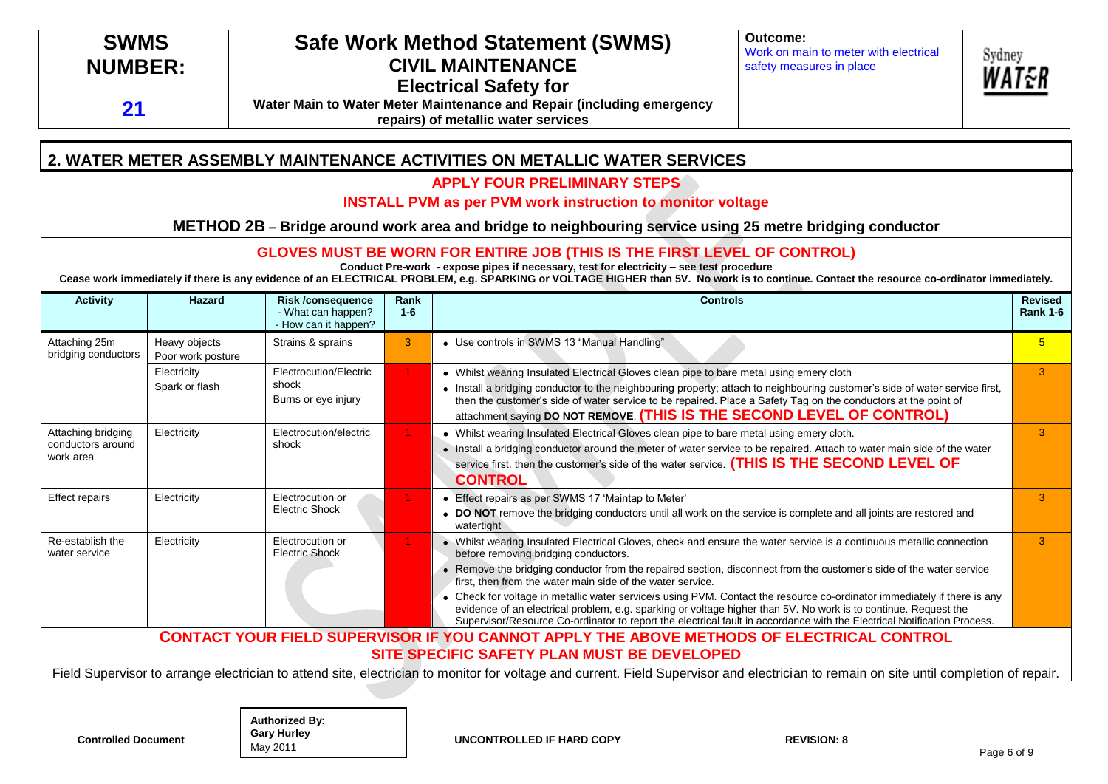# **SWMS NUMBER:**

**21**

# **Safe Work Method Statement (SWMS) CIVIL MAINTENANCE Electrical Safety for**

**Water Main to Water Meter Maintenance and Repair (including emergency repairs) of metallic water services** 

**Outcome:** Work on main to meter with electrical safety measures in place



**2. WATER METER ASSEMBLY MAINTENANCE ACTIVITIES ON METALLIC WATER SERVICES**

**APPLY FOUR PRELIMINARY STEPS**

**INSTALL PVM as per PVM work instruction to monitor voltage**

**METHOD 2B – Bridge around work area and bridge to neighbouring service using 25 metre bridging conductor**

**GLOVES MUST BE WORN FOR ENTIRE JOB (THIS IS THE FIRST LEVEL OF CONTROL)**

**Conduct Pre-work - expose pipes if necessary, test for electricity – see test procedure**

**Cease work immediately if there is any evidence of an ELECTRICAL PROBLEM, e.g. SPARKING or VOLTAGE HIGHER than 5V. No work is to continue. Contact the resource co-ordinator immediately.**

| <b>Activity</b>                                      | Hazard                             | <b>Risk /consequence</b><br>- What can happen?<br>- How can it happen? | Rank<br>$1 - 6$ | <b>Controls</b>                                                                                                                                                                                                                                                                                                                                                                                                                                                                                                                                                                                                                                                                                                         | <b>Revised</b><br><b>Rank 1-6</b> |
|------------------------------------------------------|------------------------------------|------------------------------------------------------------------------|-----------------|-------------------------------------------------------------------------------------------------------------------------------------------------------------------------------------------------------------------------------------------------------------------------------------------------------------------------------------------------------------------------------------------------------------------------------------------------------------------------------------------------------------------------------------------------------------------------------------------------------------------------------------------------------------------------------------------------------------------------|-----------------------------------|
| Attaching 25m<br>bridging conductors                 | Heavy objects<br>Poor work posture | Strains & sprains                                                      | 3               | • Use controls in SWMS 13 "Manual Handling"                                                                                                                                                                                                                                                                                                                                                                                                                                                                                                                                                                                                                                                                             | $5\overline{)}$                   |
|                                                      | Electricity<br>Spark or flash      | Electrocution/Electric<br>shock<br>Burns or eye injury                 |                 | • Whilst wearing Insulated Electrical Gloves clean pipe to bare metal using emery cloth<br>• Install a bridging conductor to the neighbouring property; attach to neighbouring customer's side of water service first,<br>then the customer's side of water service to be repaired. Place a Safety Tag on the conductors at the point of<br>attachment saying DO NOT REMOVE. (THIS IS THE SECOND LEVEL OF CONTROL)                                                                                                                                                                                                                                                                                                      | 3                                 |
| Attaching bridging<br>conductors around<br>work area | Electricity                        | Electrocution/electric<br>shock                                        |                 | • Whilst wearing Insulated Electrical Gloves clean pipe to bare metal using emery cloth.<br>. Install a bridging conductor around the meter of water service to be repaired. Attach to water main side of the water<br>service first, then the customer's side of the water service. (THIS IS THE SECOND LEVEL OF<br><b>CONTROL</b>                                                                                                                                                                                                                                                                                                                                                                                     | 3                                 |
| <b>Effect repairs</b>                                | Electricity                        | Electrocution or<br><b>Electric Shock</b>                              |                 | Effect repairs as per SWMS 17 'Maintap to Meter'<br>• DO NOT remove the bridging conductors until all work on the service is complete and all joints are restored and<br>watertight                                                                                                                                                                                                                                                                                                                                                                                                                                                                                                                                     | 3                                 |
| Re-establish the<br>water service                    | Electricity                        | Electrocution or<br><b>Electric Shock</b>                              |                 | • Whilst wearing Insulated Electrical Gloves, check and ensure the water service is a continuous metallic connection<br>before removing bridging conductors.<br>Remove the bridging conductor from the repaired section, disconnect from the customer's side of the water service<br>first, then from the water main side of the water service.<br>Check for voltage in metallic water service/s using PVM. Contact the resource co-ordinator immediately if there is any<br>evidence of an electrical problem, e.g. sparking or voltage higher than 5V. No work is to continue. Request the<br>Supervisor/Resource Co-ordinator to report the electrical fault in accordance with the Electrical Notification Process. | 3                                 |
|                                                      |                                    |                                                                        |                 | <b>CONTACT YOUR FIELD SUPERVISOR IF YOU CANNOT APPLY THE ABOVE METHODS OF ELECTRICAL CONTROL</b><br>SITE SPECIFIC SAFETY PLAN MUST BE DEVELOPED                                                                                                                                                                                                                                                                                                                                                                                                                                                                                                                                                                         |                                   |
|                                                      |                                    |                                                                        |                 | Field Supervisor to arrange electrician to attend site, electrician to monitor for voltage and current. Field Supervisor and electrician to remain on site until completion of repair.                                                                                                                                                                                                                                                                                                                                                                                                                                                                                                                                  |                                   |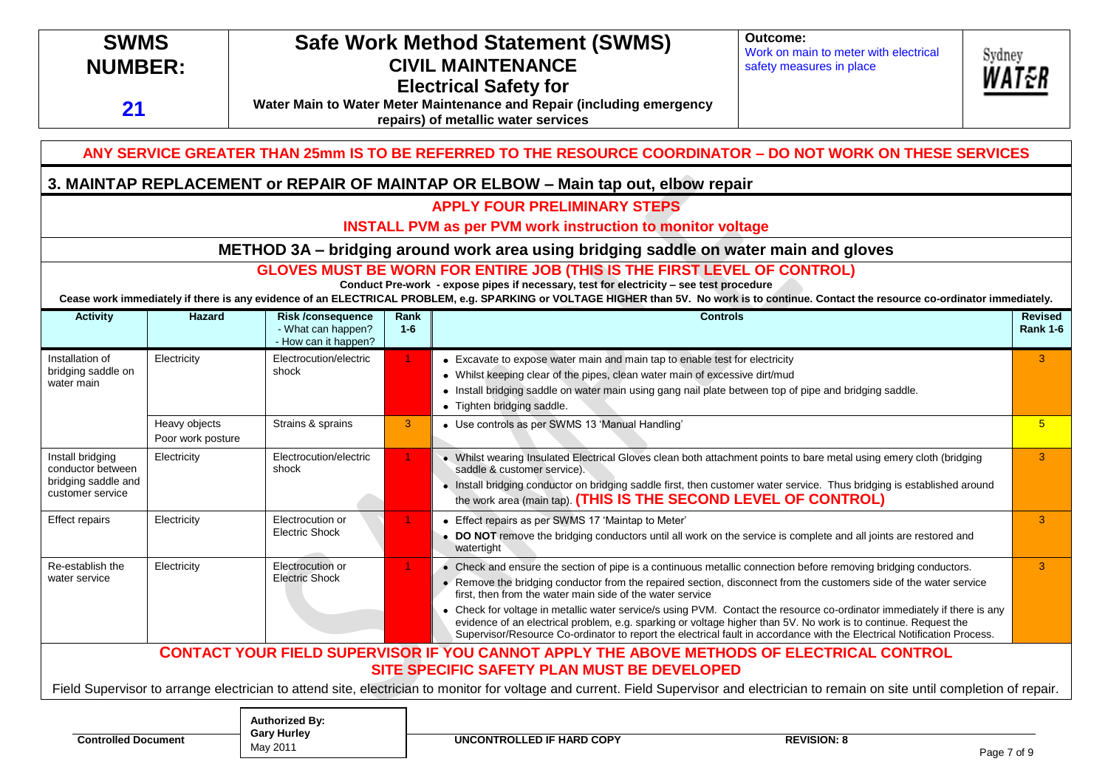| <b>SWMS</b><br><b>NUMBER:</b><br>21                                              |                                    | Outcome:<br><b>Safe Work Method Statement (SWMS)</b><br>Work on main to meter with electrical<br>Sydney<br><b>CIVIL MAINTENANCE</b><br>safety measures in place<br><b>Electrical Safety for</b><br>Water Main to Water Meter Maintenance and Repair (including emergency<br>repairs) of metallic water services |                 |                                                                                                                                                                                                                                                                                                                                                                                                                                                                                                                                                                                                                                                                              |                    |  |                                   |
|----------------------------------------------------------------------------------|------------------------------------|-----------------------------------------------------------------------------------------------------------------------------------------------------------------------------------------------------------------------------------------------------------------------------------------------------------------|-----------------|------------------------------------------------------------------------------------------------------------------------------------------------------------------------------------------------------------------------------------------------------------------------------------------------------------------------------------------------------------------------------------------------------------------------------------------------------------------------------------------------------------------------------------------------------------------------------------------------------------------------------------------------------------------------------|--------------------|--|-----------------------------------|
|                                                                                  |                                    |                                                                                                                                                                                                                                                                                                                 |                 | ANY SERVICE GREATER THAN 25mm IS TO BE REFERRED TO THE RESOURCE COORDINATOR - DO NOT WORK ON THESE SERVICES                                                                                                                                                                                                                                                                                                                                                                                                                                                                                                                                                                  |                    |  |                                   |
|                                                                                  |                                    |                                                                                                                                                                                                                                                                                                                 |                 | 3. MAINTAP REPLACEMENT or REPAIR OF MAINTAP OR ELBOW - Main tap out, elbow repair                                                                                                                                                                                                                                                                                                                                                                                                                                                                                                                                                                                            |                    |  |                                   |
|                                                                                  |                                    |                                                                                                                                                                                                                                                                                                                 |                 | <b>APPLY FOUR PRELIMINARY STEPS</b><br><b>INSTALL PVM as per PVM work instruction to monitor voltage</b>                                                                                                                                                                                                                                                                                                                                                                                                                                                                                                                                                                     |                    |  |                                   |
|                                                                                  |                                    |                                                                                                                                                                                                                                                                                                                 |                 | METHOD 3A - bridging around work area using bridging saddle on water main and gloves                                                                                                                                                                                                                                                                                                                                                                                                                                                                                                                                                                                         |                    |  |                                   |
|                                                                                  |                                    |                                                                                                                                                                                                                                                                                                                 |                 | <b>GLOVES MUST BE WORN FOR ENTIRE JOB (THIS IS THE FIRST LEVEL OF CONTROL)</b><br>Conduct Pre-work - expose pipes if necessary, test for electricity - see test procedure<br>Cease work immediately if there is any evidence of an ELECTRICAL PROBLEM, e.g. SPARKING or VOLTAGE HIGHER than 5V. No work is to continue. Contact the resource co-ordinator immediately.                                                                                                                                                                                                                                                                                                       |                    |  |                                   |
| <b>Activity</b>                                                                  | <b>Hazard</b>                      | <b>Risk /consequence</b><br>- What can happen?<br>- How can it happen?                                                                                                                                                                                                                                          | Rank<br>$1 - 6$ | <b>Controls</b>                                                                                                                                                                                                                                                                                                                                                                                                                                                                                                                                                                                                                                                              |                    |  | <b>Revised</b><br><b>Rank 1-6</b> |
| Installation of<br>bridging saddle on<br>water main                              | Electricity                        | Electrocution/electric<br>shock                                                                                                                                                                                                                                                                                 | 1.              | • Excavate to expose water main and main tap to enable test for electricity<br>• Whilst keeping clear of the pipes, clean water main of excessive dirt/mud<br>• Install bridging saddle on water main using gang nail plate between top of pipe and bridging saddle.<br>• Tighten bridging saddle.                                                                                                                                                                                                                                                                                                                                                                           |                    |  | $\mathbf{3}$                      |
|                                                                                  | Heavy objects<br>Poor work posture | Strains & sprains                                                                                                                                                                                                                                                                                               | 3 <sup>°</sup>  | • Use controls as per SWMS 13 'Manual Handling'                                                                                                                                                                                                                                                                                                                                                                                                                                                                                                                                                                                                                              |                    |  | 5 <sup>5</sup>                    |
| Install bridging<br>conductor between<br>bridging saddle and<br>customer service | Electricity                        | Electrocution/electric<br>shock                                                                                                                                                                                                                                                                                 |                 | • Whilst wearing Insulated Electrical Gloves clean both attachment points to bare metal using emery cloth (bridging<br>saddle & customer service).<br>· Install bridging conductor on bridging saddle first, then customer water service. Thus bridging is established around<br>the work area (main tap). (THIS IS THE SECOND LEVEL OF CONTROL)                                                                                                                                                                                                                                                                                                                             |                    |  | $\mathbf{3}$                      |
| <b>Effect repairs</b>                                                            | Electricity                        | Electrocution or<br><b>Electric Shock</b>                                                                                                                                                                                                                                                                       |                 | • Effect repairs as per SWMS 17 'Maintap to Meter'<br>• DO NOT remove the bridging conductors until all work on the service is complete and all joints are restored and<br>watertight                                                                                                                                                                                                                                                                                                                                                                                                                                                                                        |                    |  | 3                                 |
| Re-establish the<br>water service                                                | Electricity                        | Electrocution or<br><b>Electric Shock</b>                                                                                                                                                                                                                                                                       | 1.              | Check and ensure the section of pipe is a continuous metallic connection before removing bridging conductors.<br>Remove the bridging conductor from the repaired section, disconnect from the customers side of the water service<br>$\bullet$<br>first, then from the water main side of the water service<br>• Check for voltage in metallic water service/s using PVM. Contact the resource co-ordinator immediately if there is any<br>evidence of an electrical problem, e.g. sparking or voltage higher than 5V. No work is to continue. Request the<br>Supervisor/Resource Co-ordinator to report the electrical fault in accordance with the Electrical Notification |                    |  | $\overline{3}$                    |
|                                                                                  |                                    |                                                                                                                                                                                                                                                                                                                 |                 | <b>CONTACT YOUR FIELD SUPERVISOR IF YOU CANNOT APPLY THE ABOVE METHODS OF ELECTRICAL CONTROL</b><br>SITE SPECIFIC SAFETY PLAN MUST BE DEVELOPED<br>Field Supervisor to arrange electrician to attend site, electrician to monitor for voltage and current. Field Supervisor and electrician to remain on site until completion of repair.                                                                                                                                                                                                                                                                                                                                    |                    |  |                                   |
| <b>Controlled Document</b>                                                       |                                    | <b>Authorized By:</b><br><b>Gary Hurley</b>                                                                                                                                                                                                                                                                     |                 | <b>UNCONTROLLED IF HARD COPY</b>                                                                                                                                                                                                                                                                                                                                                                                                                                                                                                                                                                                                                                             | <b>REVISION: 8</b> |  |                                   |

**Gary Hurley** May 2011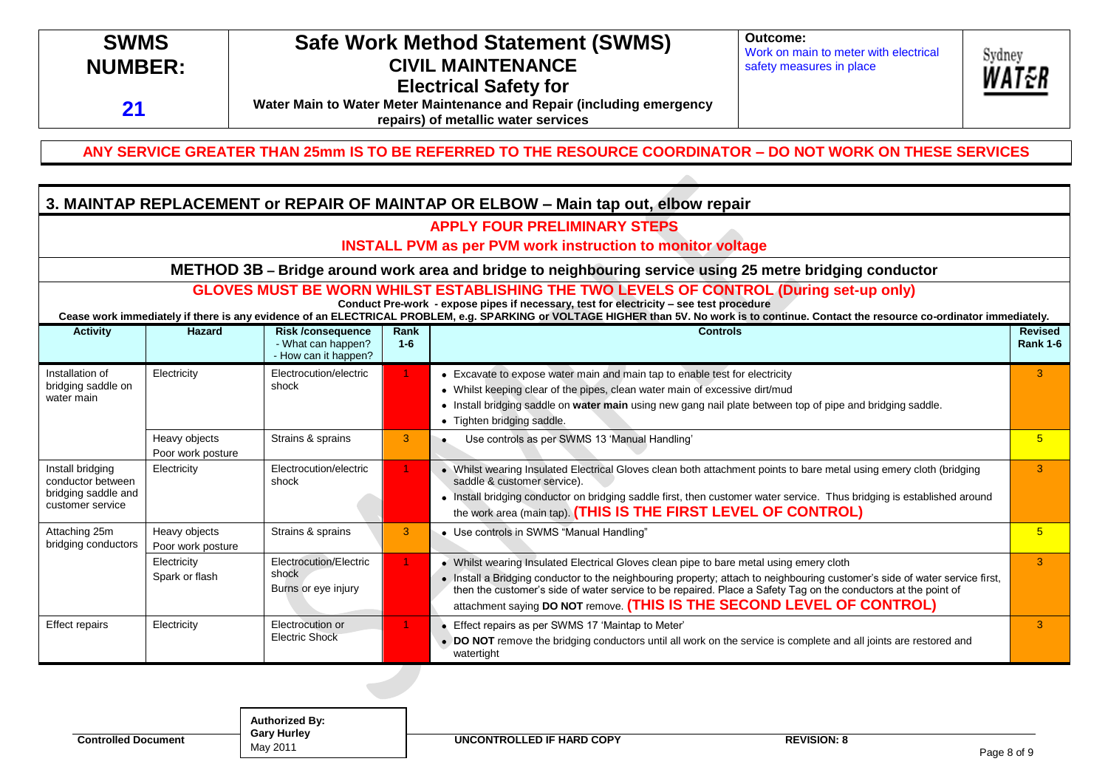#### **Outcome: SWMS Safe Work Method Statement (SWMS)** Work on main to meter with electrical Sydney **NUMBER: CIVIL MAINTENANCE** safety measures in place **Electrical Safety for Water Main to Water Meter Maintenance and Repair (including emergency 21 repairs) of metallic water services**

### **ANY SERVICE GREATER THAN 25mm IS TO BE REFERRED TO THE RESOURCE COORDINATOR – DO NOT WORK ON THESE SERVICES**

### **3. MAINTAP REPLACEMENT or REPAIR OF MAINTAP OR ELBOW – Main tap out, elbow repair**

### **APPLY FOUR PRELIMINARY STEPS**

#### **INSTALL PVM as per PVM work instruction to monitor voltage**

**METHOD 3B – Bridge around work area and bridge to neighbouring service using 25 metre bridging conductor**

### **GLOVES MUST BE WORN WHILST ESTABLISHING THE TWO LEVELS OF CONTROL (During set-up only)**

**Conduct Pre-work - expose pipes if necessary, test for electricity – see test procedure**

**Cease work immediately if there is any evidence of an ELECTRICAL PROBLEM, e.g. SPARKING or VOLTAGE HIGHER than 5V. No work is to continue. Contact the resource co-ordinator immediately.**

| <b>Activity</b>                                                                  | Hazard                             | <b>Risk/consequence</b><br>- What can happen?<br>- How can it happen? | Rank<br>$1 - 6$ | <b>Controls</b>                                                                                                                                                                                                                                                                                                                                                                                                    | <b>Revised</b><br><b>Rank 1-6</b> |
|----------------------------------------------------------------------------------|------------------------------------|-----------------------------------------------------------------------|-----------------|--------------------------------------------------------------------------------------------------------------------------------------------------------------------------------------------------------------------------------------------------------------------------------------------------------------------------------------------------------------------------------------------------------------------|-----------------------------------|
| Installation of<br>bridging saddle on<br>water main                              | Electricity                        | Electrocution/electric<br>shock                                       |                 | • Excavate to expose water main and main tap to enable test for electricity<br>• Whilst keeping clear of the pipes, clean water main of excessive dirt/mud<br>Install bridging saddle on water main using new gang nail plate between top of pipe and bridging saddle.<br>٠<br>• Tighten bridging saddle.                                                                                                          |                                   |
|                                                                                  | Heavy objects<br>Poor work posture | Strains & sprains                                                     | 3 <sup>1</sup>  | Use controls as per SWMS 13 'Manual Handling'                                                                                                                                                                                                                                                                                                                                                                      | 5                                 |
| Install bridging<br>conductor between<br>bridging saddle and<br>customer service | Electricity                        | Electrocution/electric<br>shock                                       |                 | • Whilst wearing Insulated Electrical Gloves clean both attachment points to bare metal using emery cloth (bridging<br>saddle & customer service).<br>Install bridging conductor on bridging saddle first, then customer water service. Thus bridging is established around<br>$\bullet$<br>the work area (main tap). (THIS IS THE FIRST LEVEL OF CONTROL)                                                         |                                   |
| Attaching 25m<br>bridging conductors                                             | Heavy objects<br>Poor work posture | Strains & sprains                                                     | 3               | • Use controls in SWMS "Manual Handling"                                                                                                                                                                                                                                                                                                                                                                           | 5                                 |
|                                                                                  | Electricity<br>Spark or flash      | Electrocution/Electric<br>shock<br>Burns or eye injury                |                 | • Whilst wearing Insulated Electrical Gloves clean pipe to bare metal using emery cloth<br>. Install a Bridging conductor to the neighbouring property; attach to neighbouring customer's side of water service first,<br>then the customer's side of water service to be repaired. Place a Safety Tag on the conductors at the point of<br>attachment saying DO NOT remove. (THIS IS THE SECOND LEVEL OF CONTROL) | 3                                 |
| Effect repairs                                                                   | Electricity                        | Electrocution or<br><b>Electric Shock</b>                             |                 | Effect repairs as per SWMS 17 'Maintap to Meter'<br>DO NOT remove the bridging conductors until all work on the service is complete and all joints are restored and<br>$\bullet$<br>watertight                                                                                                                                                                                                                     | 3                                 |